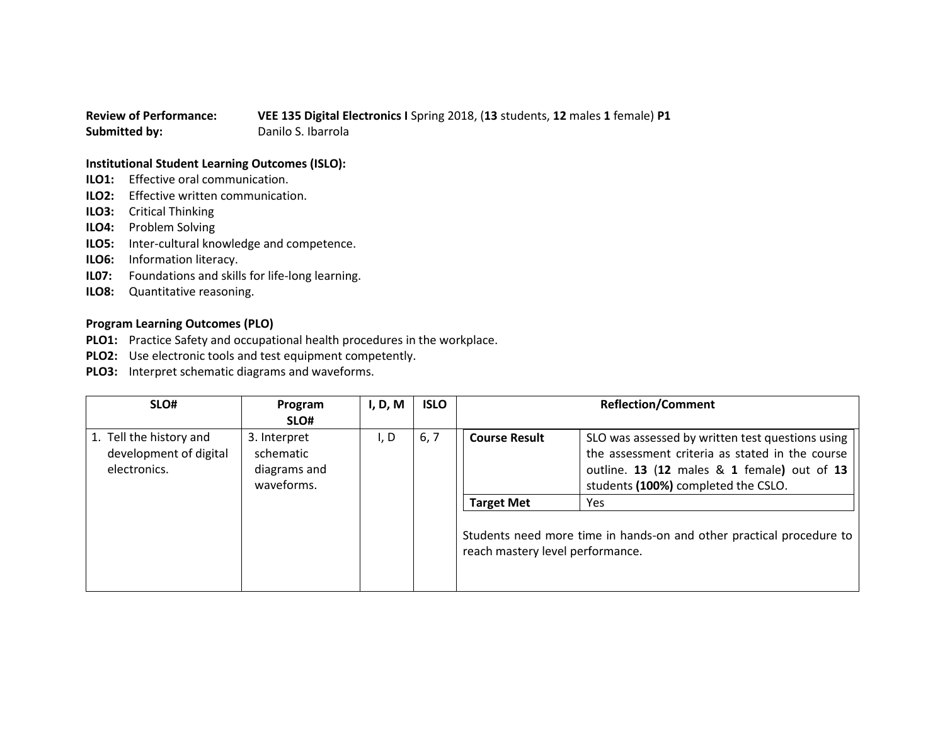## **Review of Performance: VEE 135 Digital Electronics I** Spring 2018, (**13** students, **12** males **1** female) **P1 Submitted by:** Danilo S. Ibarrola

## **Institutional Student Learning Outcomes (ISLO):**

- **ILO1:** Effective oral communication.
- **ILO2:** Effective written communication.
- **ILO3:** Critical Thinking
- **ILO4:** Problem Solving
- **ILO5:** Inter-cultural knowledge and competence.
- **ILO6:** Information literacy.
- **IL07:** Foundations and skills for life-long learning.
- **ILO8:** Quantitative reasoning.

## **Program Learning Outcomes (PLO)**

- **PLO1:** Practice Safety and occupational health procedures in the workplace.
- **PLO2:** Use electronic tools and test equipment competently.
- **PLO3:** Interpret schematic diagrams and waveforms.

| I, D, M<br>Program                                                                                                                                                                                                                                                                                                                                                                                                                                                                                                   | <b>Reflection/Comment</b> |  |
|----------------------------------------------------------------------------------------------------------------------------------------------------------------------------------------------------------------------------------------------------------------------------------------------------------------------------------------------------------------------------------------------------------------------------------------------------------------------------------------------------------------------|---------------------------|--|
| SLO#<br>1. Tell the history and<br>6, 7<br>3. Interpret<br>SLO was assessed by written test questions using<br>I, D<br><b>Course Result</b><br>development of digital<br>the assessment criteria as stated in the course<br>schematic<br>outline. 13 (12 males & 1 female) out of 13<br>electronics.<br>diagrams and<br>students (100%) completed the CSLO.<br>waveforms.<br><b>Target Met</b><br>Yes.<br>Students need more time in hands-on and other practical procedure to  <br>reach mastery level performance. |                           |  |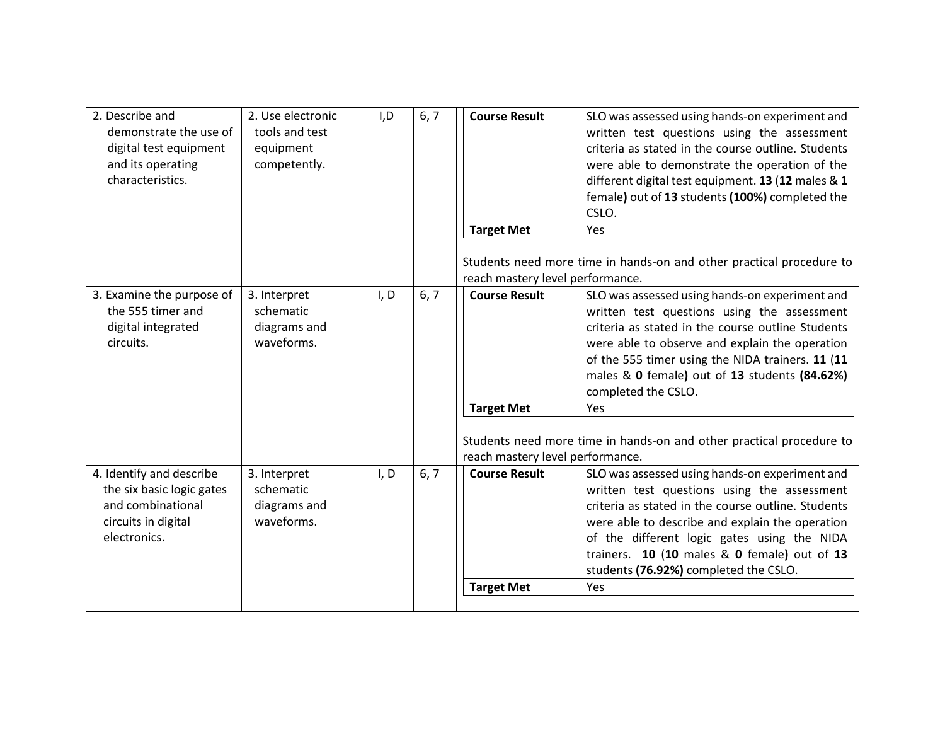| 2. Use electronic<br>tools and test<br>equipment<br>competently. | I, D | 6, 7 | <b>Course Result</b><br><b>Target Met</b> | SLO was assessed using hands-on experiment and<br>written test questions using the assessment<br>criteria as stated in the course outline. Students<br>were able to demonstrate the operation of the<br>different digital test equipment. 13 (12 males & 1<br>female) out of 13 students (100%) completed the<br>CSLO.<br>Yes                         |
|------------------------------------------------------------------|------|------|-------------------------------------------|-------------------------------------------------------------------------------------------------------------------------------------------------------------------------------------------------------------------------------------------------------------------------------------------------------------------------------------------------------|
|                                                                  |      |      | reach mastery level performance.          | Students need more time in hands-on and other practical procedure to                                                                                                                                                                                                                                                                                  |
| 3. Interpret<br>schematic<br>diagrams and<br>waveforms.          | I, D | 6, 7 | <b>Course Result</b>                      | SLO was assessed using hands-on experiment and<br>written test questions using the assessment<br>criteria as stated in the course outline Students<br>were able to observe and explain the operation<br>of the 555 timer using the NIDA trainers. 11 (11<br>males & 0 female) out of 13 students (84.62%)<br>completed the CSLO.<br>Yes               |
|                                                                  |      |      | reach mastery level performance.          | Students need more time in hands-on and other practical procedure to                                                                                                                                                                                                                                                                                  |
| 3. Interpret<br>schematic<br>diagrams and<br>waveforms.          | I, D | 6, 7 | <b>Course Result</b><br><b>Target Met</b> | SLO was assessed using hands-on experiment and<br>written test questions using the assessment<br>criteria as stated in the course outline. Students<br>were able to describe and explain the operation<br>of the different logic gates using the NIDA<br>trainers. 10 (10 males & 0 female) out of 13<br>students (76.92%) completed the CSLO.<br>Yes |
|                                                                  |      |      |                                           | <b>Target Met</b>                                                                                                                                                                                                                                                                                                                                     |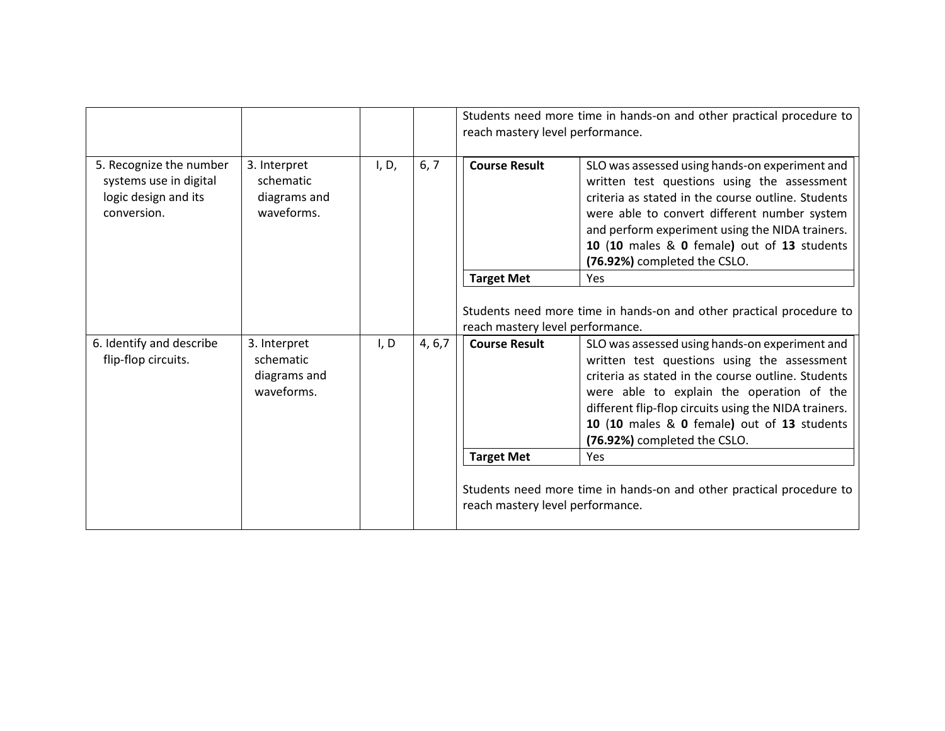|                                                                                                            |                                                         |                                                                                                          |                      | Students need more time in hands-on and other practical procedure to<br>reach mastery level performance.                                                                                                                                                                                                                                 |                                                                                                                                                                                                                                                                                                                                       |
|------------------------------------------------------------------------------------------------------------|---------------------------------------------------------|----------------------------------------------------------------------------------------------------------|----------------------|------------------------------------------------------------------------------------------------------------------------------------------------------------------------------------------------------------------------------------------------------------------------------------------------------------------------------------------|---------------------------------------------------------------------------------------------------------------------------------------------------------------------------------------------------------------------------------------------------------------------------------------------------------------------------------------|
| 5. Recognize the number<br>systems use in digital<br>logic design and its<br>conversion.                   | 3. Interpret<br>schematic<br>diagrams and<br>waveforms. | I, D,                                                                                                    | 6, 7                 | <b>Course Result</b>                                                                                                                                                                                                                                                                                                                     | SLO was assessed using hands-on experiment and<br>written test questions using the assessment<br>criteria as stated in the course outline. Students<br>were able to convert different number system<br>and perform experiment using the NIDA trainers.<br>10 (10 males & 0 female) out of 13 students<br>(76.92%) completed the CSLO. |
|                                                                                                            |                                                         |                                                                                                          |                      | <b>Target Met</b>                                                                                                                                                                                                                                                                                                                        | <b>Yes</b>                                                                                                                                                                                                                                                                                                                            |
|                                                                                                            |                                                         | Students need more time in hands-on and other practical procedure to<br>reach mastery level performance. |                      |                                                                                                                                                                                                                                                                                                                                          |                                                                                                                                                                                                                                                                                                                                       |
| 6. Identify and describe<br>3. Interpret<br>flip-flop circuits.<br>schematic<br>diagrams and<br>waveforms. | I, D                                                    | 4, 6, 7                                                                                                  | <b>Course Result</b> | SLO was assessed using hands-on experiment and<br>written test questions using the assessment<br>criteria as stated in the course outline. Students<br>were able to explain the operation of the<br>different flip-flop circuits using the NIDA trainers.<br>10 (10 males & 0 female) out of 13 students<br>(76.92%) completed the CSLO. |                                                                                                                                                                                                                                                                                                                                       |
|                                                                                                            |                                                         |                                                                                                          |                      | <b>Target Met</b>                                                                                                                                                                                                                                                                                                                        | <b>Yes</b>                                                                                                                                                                                                                                                                                                                            |
|                                                                                                            |                                                         |                                                                                                          |                      | reach mastery level performance.                                                                                                                                                                                                                                                                                                         | Students need more time in hands-on and other practical procedure to                                                                                                                                                                                                                                                                  |